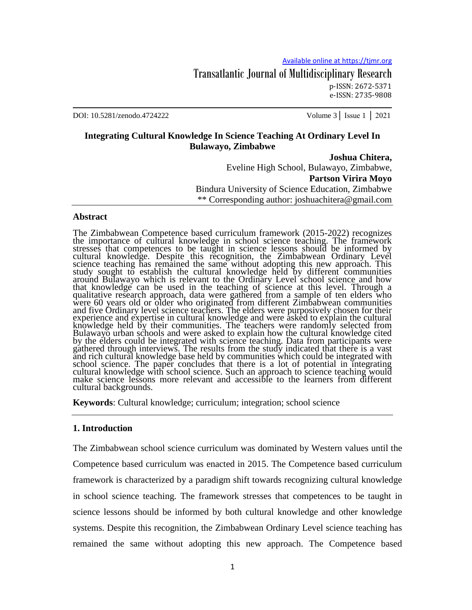## Transatlantic Journal of Multidisciplinary Research p-ISSN: 2672-5371 e-ISSN: 2735-9808

DOI: 10.5281/zenodo.4724222 Volume 3│ Issue 1 │ 2021

## **Integrating Cultural Knowledge In Science Teaching At Ordinary Level In Bulawayo, Zimbabwe**

#### **Joshua Chitera,**

Eveline High School, Bulawayo, Zimbabwe, **Partson Virira Moyo** Bindura University of Science Education, Zimbabwe \*\* Corresponding author: joshuachitera@gmail.com

### **Abstract**

The Zimbabwean Competence based curriculum framework (2015-2022) recognizes the importance of cultural knowledge in school science teaching. The framework stresses that competences to be taught in science lessons should be informed by cultural knowledge. Despite this recognition, the Zimbabwean Ordinary Level science teaching has remained the same without adopting this new approach. This study sought to establish the cultural knowledge held by different communities around Bulawayo which is relevant to the Ordinary Level school science and how that knowledge can be used in the teaching of science at this level. Through a qualitative research approach, data were gathered from a sample of ten elders who were 60 years old or older who originated from different Zimbabwean communities and five Ordinary level science teachers. The elders were purposively chosen for their experience and expertise in cultural knowledge and were asked to explain the cultural knowledge held by their communities. The teachers were randomly selected from Bulawayo urban schools and were asked to explain how the cultural knowledge cited by the elders could be integrated with science teaching. Data from participants were gathered through interviews. The results from the study indicated that there is a vast and rich cultural knowledge base held by communities which could be integrated with school science. The paper concludes that there is a lot of potential in integrating cultural knowledge with school science. Such an approach to science teaching would make science lessons more relevant and accessible to the learners from different cultural backgrounds.

**Keywords**: Cultural knowledge; curriculum; integration; school science

### **1. Introduction**

The Zimbabwean school science curriculum was dominated by Western values until the Competence based curriculum was enacted in 2015. The Competence based curriculum framework is characterized by a paradigm shift towards recognizing cultural knowledge in school science teaching. The framework stresses that competences to be taught in science lessons should be informed by both cultural knowledge and other knowledge systems. Despite this recognition, the Zimbabwean Ordinary Level science teaching has remained the same without adopting this new approach. The Competence based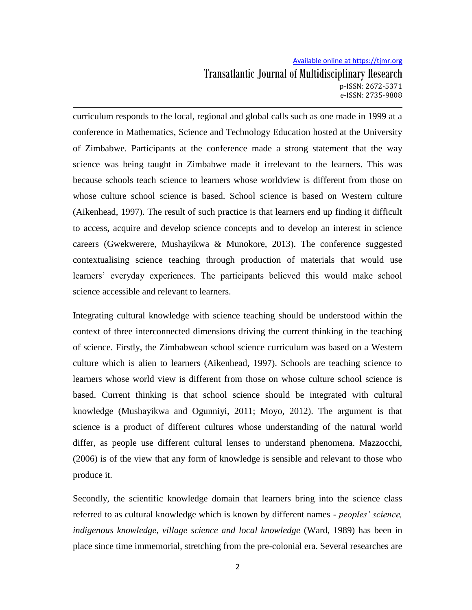curriculum responds to the local, regional and global calls such as one made in 1999 at a conference in Mathematics, Science and Technology Education hosted at the University of Zimbabwe. Participants at the conference made a strong statement that the way science was being taught in Zimbabwe made it irrelevant to the learners. This was because schools teach science to learners whose worldview is different from those on whose culture school science is based. School science is based on Western culture (Aikenhead, 1997). The result of such practice is that learners end up finding it difficult to access, acquire and develop science concepts and to develop an interest in science careers (Gwekwerere, Mushayikwa & Munokore, 2013). The conference suggested contextualising science teaching through production of materials that would use learners" everyday experiences. The participants believed this would make school science accessible and relevant to learners.

Integrating cultural knowledge with science teaching should be understood within the context of three interconnected dimensions driving the current thinking in the teaching of science. Firstly, the Zimbabwean school science curriculum was based on a Western culture which is alien to learners (Aikenhead, 1997). Schools are teaching science to learners whose world view is different from those on whose culture school science is based. Current thinking is that school science should be integrated with cultural knowledge (Mushayikwa and Ogunniyi, 2011; Moyo, 2012). The argument is that science is a product of different cultures whose understanding of the natural world differ, as people use different cultural lenses to understand phenomena. Mazzocchi, (2006) is of the view that any form of knowledge is sensible and relevant to those who produce it.

Secondly, the scientific knowledge domain that learners bring into the science class referred to as cultural knowledge which is known by different names - *peoples' science, indigenous knowledge, village science and local knowledge* (Ward, 1989) has been in place since time immemorial, stretching from the pre-colonial era. Several researches are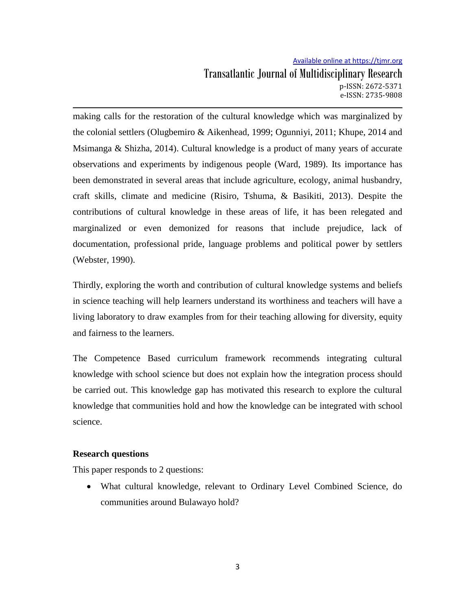making calls for the restoration of the cultural knowledge which was marginalized by the colonial settlers (Olugbemiro & Aikenhead, 1999; Ogunniyi, 2011; Khupe, 2014 and Msimanga & Shizha, 2014). Cultural knowledge is a product of many years of accurate observations and experiments by indigenous people (Ward, 1989). Its importance has been demonstrated in several areas that include agriculture, ecology, animal husbandry, craft skills, climate and medicine (Risiro, Tshuma, & Basikiti, 2013). Despite the contributions of cultural knowledge in these areas of life, it has been relegated and marginalized or even demonized for reasons that include prejudice, lack of documentation, professional pride, language problems and political power by settlers (Webster, 1990).

Thirdly, exploring the worth and contribution of cultural knowledge systems and beliefs in science teaching will help learners understand its worthiness and teachers will have a living laboratory to draw examples from for their teaching allowing for diversity, equity and fairness to the learners.

The Competence Based curriculum framework recommends integrating cultural knowledge with school science but does not explain how the integration process should be carried out. This knowledge gap has motivated this research to explore the cultural knowledge that communities hold and how the knowledge can be integrated with school science.

## **Research questions**

This paper responds to 2 questions:

 What cultural knowledge, relevant to Ordinary Level Combined Science, do communities around Bulawayo hold?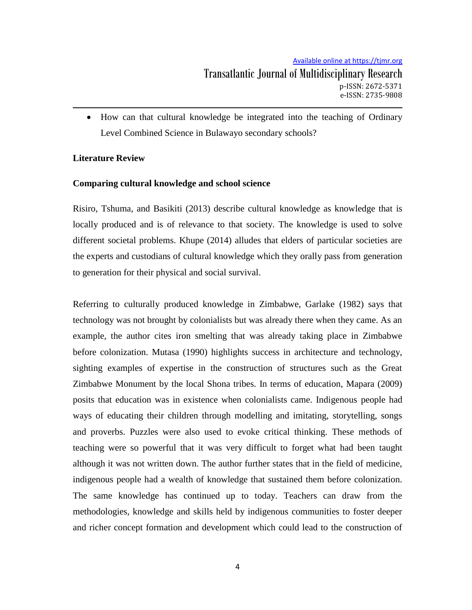How can that cultural knowledge be integrated into the teaching of Ordinary Level Combined Science in Bulawayo secondary schools?

# **Literature Review**

# **Comparing cultural knowledge and school science**

Risiro, Tshuma, and Basikiti (2013) describe cultural knowledge as knowledge that is locally produced and is of relevance to that society. The knowledge is used to solve different societal problems. Khupe (2014) alludes that elders of particular societies are the experts and custodians of cultural knowledge which they orally pass from generation to generation for their physical and social survival.

Referring to culturally produced knowledge in Zimbabwe, Garlake (1982) says that technology was not brought by colonialists but was already there when they came. As an example, the author cites iron smelting that was already taking place in Zimbabwe before colonization. Mutasa (1990) highlights success in architecture and technology, sighting examples of expertise in the construction of structures such as the Great Zimbabwe Monument by the local Shona tribes. In terms of education, Mapara (2009) posits that education was in existence when colonialists came. Indigenous people had ways of educating their children through modelling and imitating, storytelling, songs and proverbs. Puzzles were also used to evoke critical thinking. These methods of teaching were so powerful that it was very difficult to forget what had been taught although it was not written down. The author further states that in the field of medicine, indigenous people had a wealth of knowledge that sustained them before colonization. The same knowledge has continued up to today. Teachers can draw from the methodologies, knowledge and skills held by indigenous communities to foster deeper and richer concept formation and development which could lead to the construction of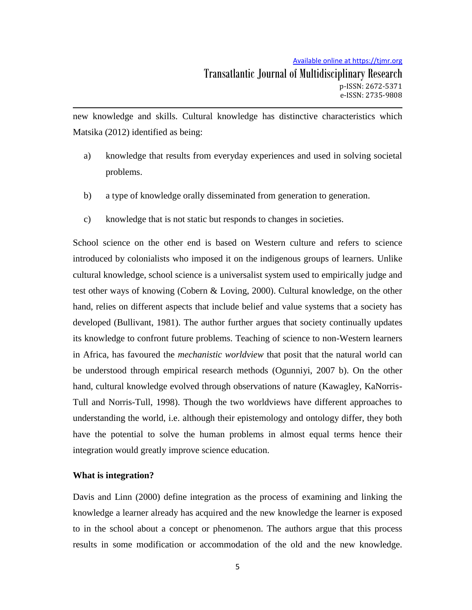new knowledge and skills. Cultural knowledge has distinctive characteristics which Matsika (2012) identified as being:

- a) knowledge that results from everyday experiences and used in solving societal problems.
- b) a type of knowledge orally disseminated from generation to generation.
- c) knowledge that is not static but responds to changes in societies.

School science on the other end is based on Western culture and refers to science introduced by colonialists who imposed it on the indigenous groups of learners. Unlike cultural knowledge, school science is a universalist system used to empirically judge and test other ways of knowing (Cobern & Loving, 2000). Cultural knowledge, on the other hand, relies on different aspects that include belief and value systems that a society has developed (Bullivant, 1981). The author further argues that society continually updates its knowledge to confront future problems. Teaching of science to non-Western learners in Africa, has favoured the *mechanistic worldview* that posit that the natural world can be understood through empirical research methods (Ogunniyi, 2007 b). On the other hand, cultural knowledge evolved through observations of nature (Kawagley, KaNorris-Tull and Norris-Tull, 1998). Though the two worldviews have different approaches to understanding the world, i.e. although their epistemology and ontology differ, they both have the potential to solve the human problems in almost equal terms hence their integration would greatly improve science education.

### **What is integration?**

Davis and Linn (2000) define integration as the process of examining and linking the knowledge a learner already has acquired and the new knowledge the learner is exposed to in the school about a concept or phenomenon. The authors argue that this process results in some modification or accommodation of the old and the new knowledge.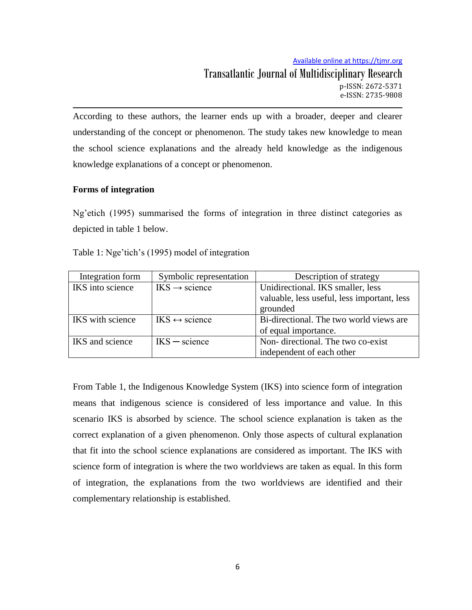Available online at https://tjmr.org Transatlantic Journal of Multidisciplinary Research

p-ISSN: 2672-5371 e-ISSN: 2735-9808

According to these authors, the learner ends up with a broader, deeper and clearer understanding of the concept or phenomenon. The study takes new knowledge to mean the school science explanations and the already held knowledge as the indigenous knowledge explanations of a concept or phenomenon.

## **Forms of integration**

Ng"etich (1995) summarised the forms of integration in three distinct categories as depicted in table 1 below.

| Integration form | Symbolic representation                 | Description of strategy                     |  |
|------------------|-----------------------------------------|---------------------------------------------|--|
| IKS into science | $\text{IKS} \rightarrow \text{science}$ | Unidirectional. IKS smaller, less           |  |
|                  |                                         | valuable, less useful, less important, less |  |
|                  |                                         | grounded                                    |  |
| IKS with science | $IKS \leftrightarrow$ science           | Bi-directional. The two world views are     |  |
|                  |                                         | of equal importance.                        |  |
| IKS and science  | $IKS - science$                         | Non-directional. The two co-exist           |  |
|                  |                                         | independent of each other                   |  |

Table 1: Nge'tich's (1995) model of integration

From Table 1, the Indigenous Knowledge System (IKS) into science form of integration means that indigenous science is considered of less importance and value. In this scenario IKS is absorbed by science. The school science explanation is taken as the correct explanation of a given phenomenon. Only those aspects of cultural explanation that fit into the school science explanations are considered as important. The IKS with science form of integration is where the two worldviews are taken as equal. In this form of integration, the explanations from the two worldviews are identified and their complementary relationship is established.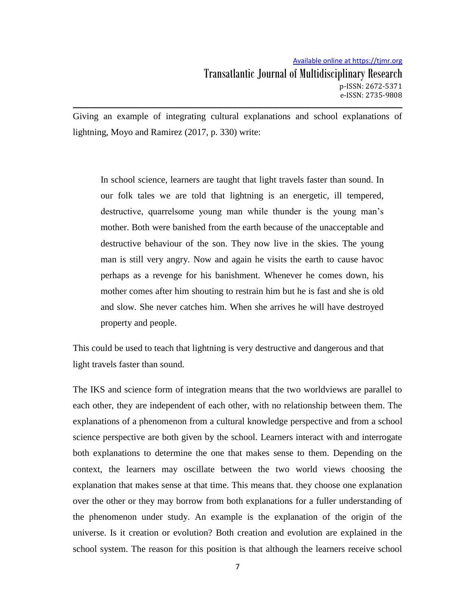Giving an example of integrating cultural explanations and school explanations of lightning, Moyo and Ramirez (2017, p. 330) write:

In school science, learners are taught that light travels faster than sound. In our folk tales we are told that lightning is an energetic, ill tempered, destructive, quarrelsome young man while thunder is the young man's mother. Both were banished from the earth because of the unacceptable and destructive behaviour of the son. They now live in the skies. The young man is still very angry. Now and again he visits the earth to cause havoc perhaps as a revenge for his banishment. Whenever he comes down, his mother comes after him shouting to restrain him but he is fast and she is old and slow. She never catches him. When she arrives he will have destroyed property and people.

This could be used to teach that lightning is very destructive and dangerous and that light travels faster than sound.

The IKS and science form of integration means that the two worldviews are parallel to each other, they are independent of each other, with no relationship between them. The explanations of a phenomenon from a cultural knowledge perspective and from a school science perspective are both given by the school. Learners interact with and interrogate both explanations to determine the one that makes sense to them. Depending on the context, the learners may oscillate between the two world views choosing the explanation that makes sense at that time. This means that. they choose one explanation over the other or they may borrow from both explanations for a fuller understanding of the phenomenon under study. An example is the explanation of the origin of the universe. Is it creation or evolution? Both creation and evolution are explained in the school system. The reason for this position is that although the learners receive school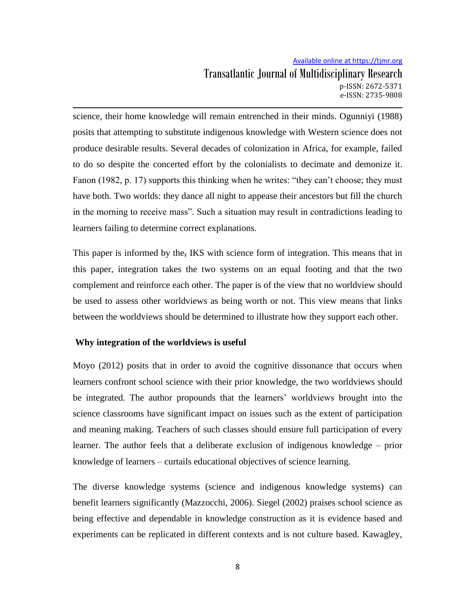science, their home knowledge will remain entrenched in their minds. Ogunniyi (1988) posits that attempting to substitute indigenous knowledge with Western science does not produce desirable results. Several decades of colonization in Africa, for example, failed to do so despite the concerted effort by the colonialists to decimate and demonize it. Fanon (1982, p. 17) supports this thinking when he writes: "they can't choose; they must have both. Two worlds: they dance all night to appease their ancestors but fill the church in the morning to receive mass". Such a situation may result in contradictions leading to learners failing to determine correct explanations.

This paper is informed by the, IKS with science form of integration. This means that in this paper, integration takes the two systems on an equal footing and that the two complement and reinforce each other. The paper is of the view that no worldview should be used to assess other worldviews as being worth or not. This view means that links between the worldviews should be determined to illustrate how they support each other.

### **Why integration of the worldviews is useful**

Moyo (2012) posits that in order to avoid the cognitive dissonance that occurs when learners confront school science with their prior knowledge, the two worldviews should be integrated. The author propounds that the learners' worldviews brought into the science classrooms have significant impact on issues such as the extent of participation and meaning making. Teachers of such classes should ensure full participation of every learner. The author feels that a deliberate exclusion of indigenous knowledge – prior knowledge of learners – curtails educational objectives of science learning.

The diverse knowledge systems (science and indigenous knowledge systems) can benefit learners significantly (Mazzocchi, 2006). Siegel (2002) praises school science as being effective and dependable in knowledge construction as it is evidence based and experiments can be replicated in different contexts and is not culture based. Kawagley,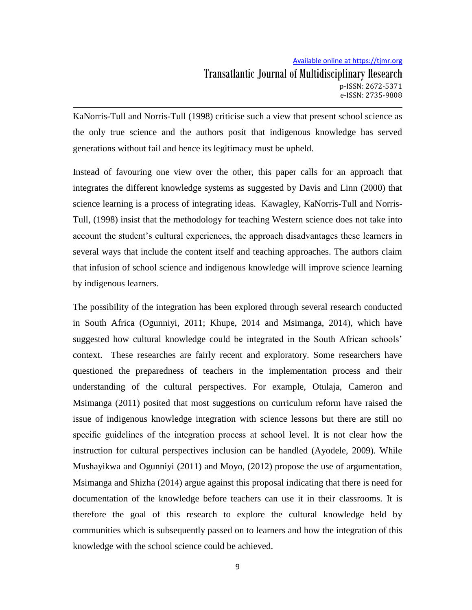KaNorris-Tull and Norris-Tull (1998) criticise such a view that present school science as the only true science and the authors posit that indigenous knowledge has served generations without fail and hence its legitimacy must be upheld.

Instead of favouring one view over the other, this paper calls for an approach that integrates the different knowledge systems as suggested by Davis and Linn (2000) that science learning is a process of integrating ideas. Kawagley, KaNorris-Tull and Norris-Tull, (1998) insist that the methodology for teaching Western science does not take into account the student"s cultural experiences, the approach disadvantages these learners in several ways that include the content itself and teaching approaches. The authors claim that infusion of school science and indigenous knowledge will improve science learning by indigenous learners.

The possibility of the integration has been explored through several research conducted in South Africa (Ogunniyi, 2011; Khupe, 2014 and Msimanga, 2014), which have suggested how cultural knowledge could be integrated in the South African schools' context. These researches are fairly recent and exploratory. Some researchers have questioned the preparedness of teachers in the implementation process and their understanding of the cultural perspectives. For example, Otulaja, Cameron and Msimanga (2011) posited that most suggestions on curriculum reform have raised the issue of indigenous knowledge integration with science lessons but there are still no specific guidelines of the integration process at school level. It is not clear how the instruction for cultural perspectives inclusion can be handled (Ayodele, 2009). While Mushayikwa and Ogunniyi (2011) and Moyo, (2012) propose the use of argumentation, Msimanga and Shizha (2014) argue against this proposal indicating that there is need for documentation of the knowledge before teachers can use it in their classrooms. It is therefore the goal of this research to explore the cultural knowledge held by communities which is subsequently passed on to learners and how the integration of this knowledge with the school science could be achieved.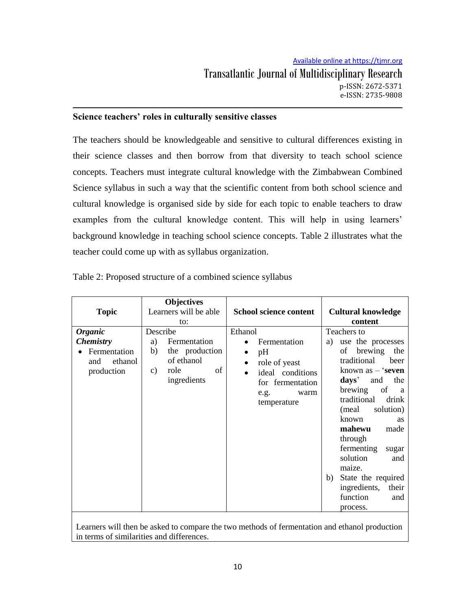## **Science teachers' roles in culturally sensitive classes**

The teachers should be knowledgeable and sensitive to cultural differences existing in their science classes and then borrow from that diversity to teach school science concepts. Teachers must integrate cultural knowledge with the Zimbabwean Combined Science syllabus in such a way that the scientific content from both school science and cultural knowledge is organised side by side for each topic to enable teachers to draw examples from the cultural knowledge content. This will help in using learners' background knowledge in teaching school science concepts. Table 2 illustrates what the teacher could come up with as syllabus organization.

| <b>Topic</b>                                                                       | <b>Objectives</b><br>Learners will be able<br>to:                                                       | <b>School science content</b>                                                                                                                                             | <b>Cultural knowledge</b><br>content                                                                                                                                                                                                                                                                                                                                                              |
|------------------------------------------------------------------------------------|---------------------------------------------------------------------------------------------------------|---------------------------------------------------------------------------------------------------------------------------------------------------------------------------|---------------------------------------------------------------------------------------------------------------------------------------------------------------------------------------------------------------------------------------------------------------------------------------------------------------------------------------------------------------------------------------------------|
| <b>Organic</b><br><b>Chemistry</b><br>Fermentation<br>and<br>ethanol<br>production | Describe<br>Fermentation<br>a)<br>b)<br>the production<br>of ethanol<br>role<br>of<br>C)<br>ingredients | Ethanol<br>Fermentation<br>$\bullet$<br>pH<br>$\bullet$<br>role of yeast<br>$\bullet$<br>ideal conditions<br>$\bullet$<br>for fermentation<br>e.g.<br>warm<br>temperature | Teachers to<br>use the processes<br>a)<br>brewing the<br>of<br>traditional<br>beer<br>known as $-$ 'seven<br>the<br>days'<br>and<br>of<br>brewing<br>a a<br>traditional<br>drink<br>solution)<br>(meal<br>known<br><b>as</b><br>mahewu<br>made<br>through<br>fermenting<br>sugar<br>solution<br>and<br>maize.<br>State the required<br>b)<br>ingredients,<br>their<br>function<br>and<br>process. |

Table 2: Proposed structure of a combined science syllabus

Learners will then be asked to compare the two methods of fermentation and ethanol production in terms of similarities and differences.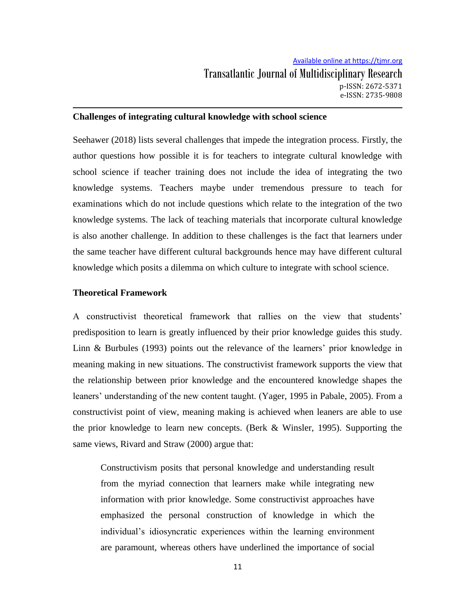### **Challenges of integrating cultural knowledge with school science**

Seehawer (2018) lists several challenges that impede the integration process. Firstly, the author questions how possible it is for teachers to integrate cultural knowledge with school science if teacher training does not include the idea of integrating the two knowledge systems. Teachers maybe under tremendous pressure to teach for examinations which do not include questions which relate to the integration of the two knowledge systems. The lack of teaching materials that incorporate cultural knowledge is also another challenge. In addition to these challenges is the fact that learners under the same teacher have different cultural backgrounds hence may have different cultural knowledge which posits a dilemma on which culture to integrate with school science.

#### **Theoretical Framework**

A constructivist theoretical framework that rallies on the view that students" predisposition to learn is greatly influenced by their prior knowledge guides this study. Linn & Burbules (1993) points out the relevance of the learners' prior knowledge in meaning making in new situations. The constructivist framework supports the view that the relationship between prior knowledge and the encountered knowledge shapes the leaners' understanding of the new content taught. (Yager, 1995 in Pabale, 2005). From a constructivist point of view, meaning making is achieved when leaners are able to use the prior knowledge to learn new concepts. (Berk & Winsler, 1995). Supporting the same views, Rivard and Straw (2000) argue that:

Constructivism posits that personal knowledge and understanding result from the myriad connection that learners make while integrating new information with prior knowledge. Some constructivist approaches have emphasized the personal construction of knowledge in which the individual"s idiosyncratic experiences within the learning environment are paramount, whereas others have underlined the importance of social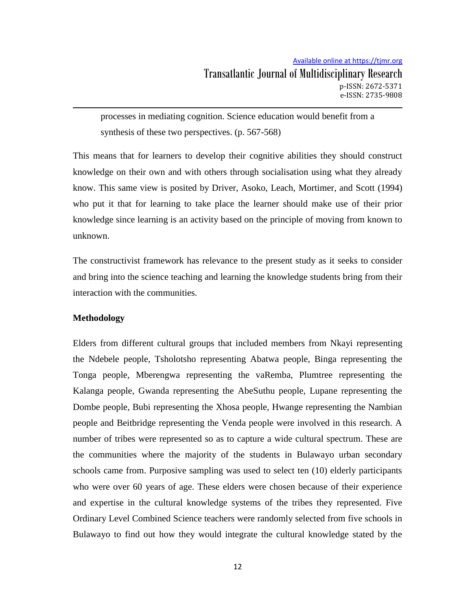processes in mediating cognition. Science education would benefit from a synthesis of these two perspectives. (p. 567-568)

This means that for learners to develop their cognitive abilities they should construct knowledge on their own and with others through socialisation using what they already know. This same view is posited by Driver, Asoko, Leach, Mortimer, and Scott (1994) who put it that for learning to take place the learner should make use of their prior knowledge since learning is an activity based on the principle of moving from known to unknown.

The constructivist framework has relevance to the present study as it seeks to consider and bring into the science teaching and learning the knowledge students bring from their interaction with the communities.

## **Methodology**

Elders from different cultural groups that included members from Nkayi representing the Ndebele people, Tsholotsho representing Abatwa people, Binga representing the Tonga people, Mberengwa representing the vaRemba, Plumtree representing the Kalanga people, Gwanda representing the AbeSuthu people, Lupane representing the Dombe people, Bubi representing the Xhosa people, Hwange representing the Nambian people and Beitbridge representing the Venda people were involved in this research. A number of tribes were represented so as to capture a wide cultural spectrum. These are the communities where the majority of the students in Bulawayo urban secondary schools came from. Purposive sampling was used to select ten (10) elderly participants who were over 60 years of age. These elders were chosen because of their experience and expertise in the cultural knowledge systems of the tribes they represented. Five Ordinary Level Combined Science teachers were randomly selected from five schools in Bulawayo to find out how they would integrate the cultural knowledge stated by the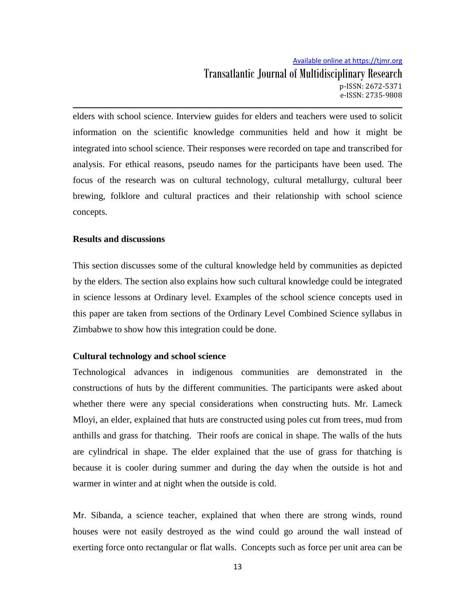elders with school science. Interview guides for elders and teachers were used to solicit information on the scientific knowledge communities held and how it might be integrated into school science. Their responses were recorded on tape and transcribed for analysis. For ethical reasons, pseudo names for the participants have been used. The focus of the research was on cultural technology, cultural metallurgy, cultural beer brewing, folklore and cultural practices and their relationship with school science concepts.

### **Results and discussions**

This section discusses some of the cultural knowledge held by communities as depicted by the elders. The section also explains how such cultural knowledge could be integrated in science lessons at Ordinary level. Examples of the school science concepts used in this paper are taken from sections of the Ordinary Level Combined Science syllabus in Zimbabwe to show how this integration could be done.

### **Cultural technology and school science**

Technological advances in indigenous communities are demonstrated in the constructions of huts by the different communities. The participants were asked about whether there were any special considerations when constructing huts. Mr. Lameck Mloyi, an elder, explained that huts are constructed using poles cut from trees, mud from anthills and grass for thatching. Their roofs are conical in shape. The walls of the huts are cylindrical in shape. The elder explained that the use of grass for thatching is because it is cooler during summer and during the day when the outside is hot and warmer in winter and at night when the outside is cold.

Mr. Sibanda, a science teacher, explained that when there are strong winds, round houses were not easily destroyed as the wind could go around the wall instead of exerting force onto rectangular or flat walls. Concepts such as force per unit area can be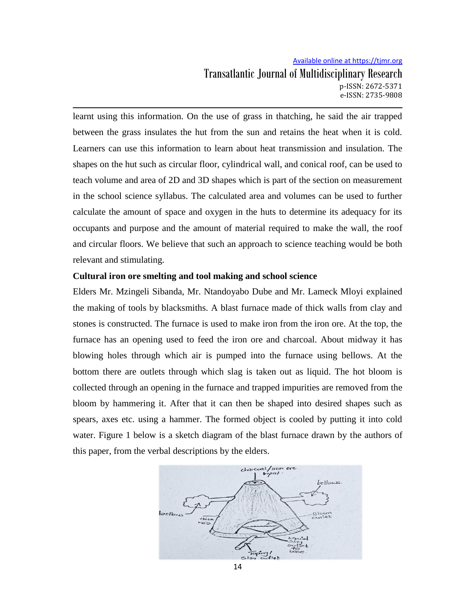learnt using this information. On the use of grass in thatching, he said the air trapped between the grass insulates the hut from the sun and retains the heat when it is cold. Learners can use this information to learn about heat transmission and insulation. The shapes on the hut such as circular floor, cylindrical wall, and conical roof, can be used to teach volume and area of 2D and 3D shapes which is part of the section on measurement in the school science syllabus. The calculated area and volumes can be used to further calculate the amount of space and oxygen in the huts to determine its adequacy for its occupants and purpose and the amount of material required to make the wall, the roof and circular floors. We believe that such an approach to science teaching would be both relevant and stimulating.

## **Cultural iron ore smelting and tool making and school science**

Elders Mr. Mzingeli Sibanda, Mr. Ntandoyabo Dube and Mr. Lameck Mloyi explained the making of tools by blacksmiths. A blast furnace made of thick walls from clay and stones is constructed. The furnace is used to make iron from the iron ore. At the top, the furnace has an opening used to feed the iron ore and charcoal. About midway it has blowing holes through which air is pumped into the furnace using bellows. At the bottom there are outlets through which slag is taken out as liquid. The hot bloom is collected through an opening in the furnace and trapped impurities are removed from the bloom by hammering it. After that it can then be shaped into desired shapes such as spears, axes etc. using a hammer. The formed object is cooled by putting it into cold water. Figure 1 below is a sketch diagram of the blast furnace drawn by the authors of this paper, from the verbal descriptions by the elders.

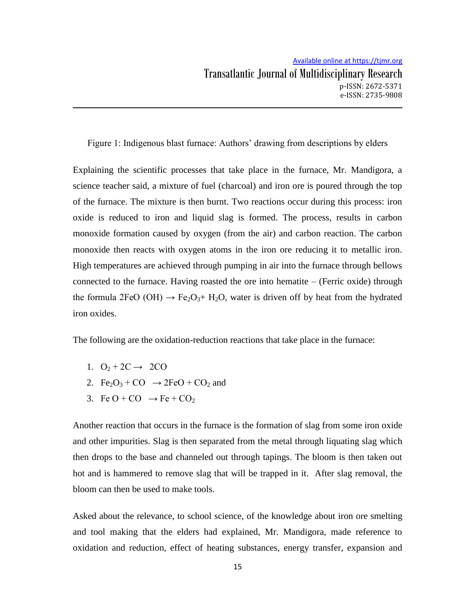Figure 1: Indigenous blast furnace: Authors' drawing from descriptions by elders

Explaining the scientific processes that take place in the furnace, Mr. Mandigora, a science teacher said, a mixture of fuel (charcoal) and iron ore is poured through the top of the furnace. The mixture is then burnt. Two reactions occur during this process: iron oxide is reduced to iron and liquid slag is formed. The process, results in carbon monoxide formation caused by oxygen (from the air) and carbon reaction. The carbon monoxide then reacts with oxygen atoms in the iron ore reducing it to metallic iron. High temperatures are achieved through pumping in air into the furnace through bellows connected to the furnace. Having roasted the ore into hematite – (Ferric oxide) through the formula 2FeO (OH)  $\rightarrow$  Fe<sub>2</sub>O<sub>3</sub>+ H<sub>2</sub>O, water is driven off by heat from the hydrated iron oxides.

The following are the oxidation-reduction reactions that take place in the furnace:

- 1.  $O_2 + 2C \rightarrow 2CO$
- 2. Fe<sub>2</sub>O<sub>3</sub> + CO  $\rightarrow$  2FeO + CO<sub>2</sub> and
- 3. Fe O + CO  $\rightarrow$  Fe + CO<sub>2</sub>

Another reaction that occurs in the furnace is the formation of slag from some iron oxide and other impurities. Slag is then separated from the metal through liquating slag which then drops to the base and channeled out through tapings. The bloom is then taken out hot and is hammered to remove slag that will be trapped in it. After slag removal, the bloom can then be used to make tools.

Asked about the relevance, to school science, of the knowledge about iron ore smelting and tool making that the elders had explained, Mr. Mandigora, made reference to oxidation and reduction, effect of heating substances, energy transfer, expansion and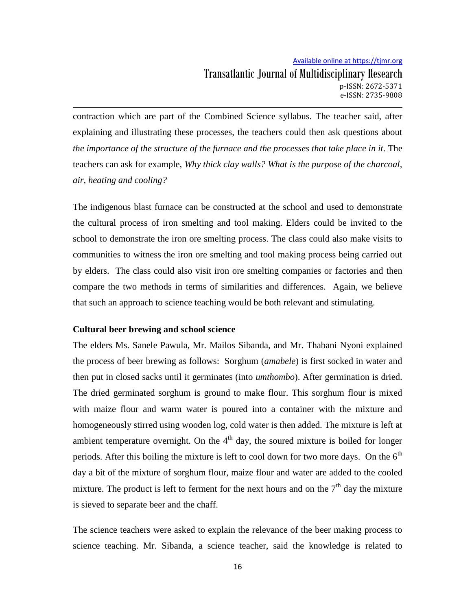contraction which are part of the Combined Science syllabus. The teacher said, after explaining and illustrating these processes, the teachers could then ask questions about *the importance of the structure of the furnace and the processes that take place in it.* The teachers can ask for example, *Why thick clay walls? What is the purpose of the charcoal, air, heating and cooling?*

The indigenous blast furnace can be constructed at the school and used to demonstrate the cultural process of iron smelting and tool making. Elders could be invited to the school to demonstrate the iron ore smelting process. The class could also make visits to communities to witness the iron ore smelting and tool making process being carried out by elders. The class could also visit iron ore smelting companies or factories and then compare the two methods in terms of similarities and differences. Again, we believe that such an approach to science teaching would be both relevant and stimulating.

### **Cultural beer brewing and school science**

The elders Ms. Sanele Pawula, Mr. Mailos Sibanda, and Mr. Thabani Nyoni explained the process of beer brewing as follows: Sorghum (*amabele*) is first socked in water and then put in closed sacks until it germinates (into *umthombo*). After germination is dried. The dried germinated sorghum is ground to make flour. This sorghum flour is mixed with maize flour and warm water is poured into a container with the mixture and homogeneously stirred using wooden log, cold water is then added. The mixture is left at ambient temperature overnight. On the  $4<sup>th</sup>$  day, the soured mixture is boiled for longer periods. After this boiling the mixture is left to cool down for two more days. On the  $6<sup>th</sup>$ day a bit of the mixture of sorghum flour, maize flour and water are added to the cooled mixture. The product is left to ferment for the next hours and on the  $7<sup>th</sup>$  day the mixture is sieved to separate beer and the chaff.

The science teachers were asked to explain the relevance of the beer making process to science teaching. Mr. Sibanda, a science teacher, said the knowledge is related to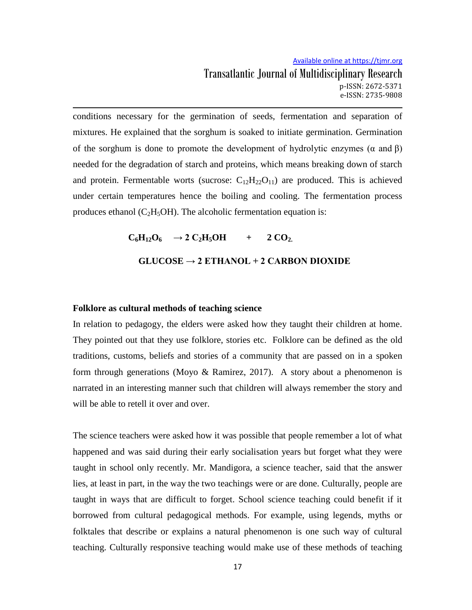conditions necessary for the germination of seeds, fermentation and separation of mixtures. He explained that the sorghum is soaked to initiate germination. Germination of the sorghum is done to promote the development of hydrolytic enzymes ( $\alpha$  and  $\beta$ ) needed for the degradation of starch and proteins, which means breaking down of starch and protein. Fermentable worts (sucrose:  $C_{12}H_{22}O_{11}$ ) are produced. This is achieved under certain temperatures hence the boiling and cooling. The fermentation process produces ethanol ( $C_2H_5OH$ ). The alcoholic fermentation equation is:

> $C_6H_{12}O_6 \rightarrow 2 C_2H_5OH + 2 CO_2.$ **GLUCOSE → 2 ETHANOL + 2 CARBON DIOXIDE**

#### **Folklore as cultural methods of teaching science**

In relation to pedagogy, the elders were asked how they taught their children at home. They pointed out that they use folklore, stories etc. Folklore can be defined as the old traditions, customs, beliefs and stories of a community that are passed on in a spoken form through generations (Moyo & Ramirez, 2017). A story about a phenomenon is narrated in an interesting manner such that children will always remember the story and will be able to retell it over and over.

The science teachers were asked how it was possible that people remember a lot of what happened and was said during their early socialisation years but forget what they were taught in school only recently. Mr. Mandigora, a science teacher, said that the answer lies, at least in part, in the way the two teachings were or are done. Culturally, people are taught in ways that are difficult to forget. School science teaching could benefit if it borrowed from cultural pedagogical methods. For example, using legends, myths or folktales that describe or explains a natural phenomenon is one such way of cultural teaching. Culturally responsive teaching would make use of these methods of teaching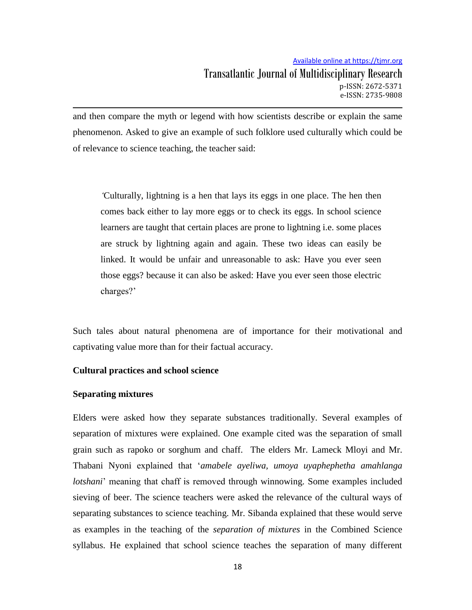and then compare the myth or legend with how scientists describe or explain the same phenomenon. Asked to give an example of such folklore used culturally which could be of relevance to science teaching, the teacher said:

*'*Culturally, lightning is a hen that lays its eggs in one place. The hen then comes back either to lay more eggs or to check its eggs. In school science learners are taught that certain places are prone to lightning i.e. some places are struck by lightning again and again. These two ideas can easily be linked. It would be unfair and unreasonable to ask: Have you ever seen those eggs? because it can also be asked: Have you ever seen those electric charges?'

Such tales about natural phenomena are of importance for their motivational and captivating value more than for their factual accuracy.

### **Cultural practices and school science**

#### **Separating mixtures**

Elders were asked how they separate substances traditionally. Several examples of separation of mixtures were explained. One example cited was the separation of small grain such as rapoko or sorghum and chaff. The elders Mr. Lameck Mloyi and Mr. Thabani Nyoni explained that "*amabele ayeliwa, umoya uyaphephetha amahlanga lotshani*' meaning that chaff is removed through winnowing. Some examples included sieving of beer. The science teachers were asked the relevance of the cultural ways of separating substances to science teaching. Mr. Sibanda explained that these would serve as examples in the teaching of the *separation of mixtures* in the Combined Science syllabus. He explained that school science teaches the separation of many different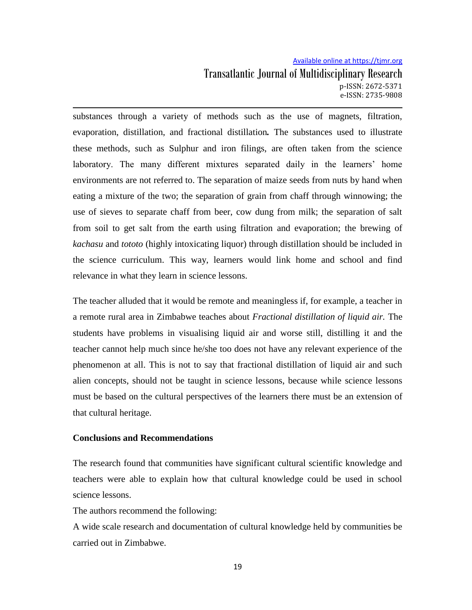substances through a variety of methods such as the use of magnets, filtration, evaporation, distillation, and fractional distillation*.* The substances used to illustrate these methods, such as Sulphur and iron filings, are often taken from the science laboratory. The many different mixtures separated daily in the learners" home environments are not referred to. The separation of maize seeds from nuts by hand when eating a mixture of the two; the separation of grain from chaff through winnowing; the use of sieves to separate chaff from beer, cow dung from milk; the separation of salt from soil to get salt from the earth using filtration and evaporation; the brewing of *kachasu* and *tototo* (highly intoxicating liquor) through distillation should be included in the science curriculum. This way, learners would link home and school and find relevance in what they learn in science lessons.

The teacher alluded that it would be remote and meaningless if, for example, a teacher in a remote rural area in Zimbabwe teaches about *Fractional distillation of liquid air.* The students have problems in visualising liquid air and worse still, distilling it and the teacher cannot help much since he/she too does not have any relevant experience of the phenomenon at all. This is not to say that fractional distillation of liquid air and such alien concepts, should not be taught in science lessons, because while science lessons must be based on the cultural perspectives of the learners there must be an extension of that cultural heritage.

### **Conclusions and Recommendations**

The research found that communities have significant cultural scientific knowledge and teachers were able to explain how that cultural knowledge could be used in school science lessons.

The authors recommend the following:

A wide scale research and documentation of cultural knowledge held by communities be carried out in Zimbabwe.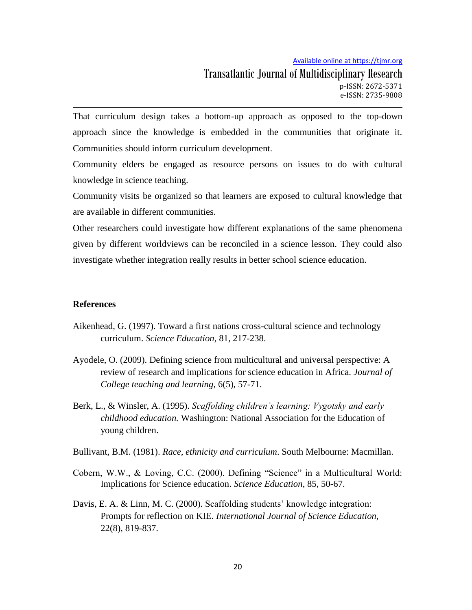Available online at https://tjmr.org

That curriculum design takes a bottom-up approach as opposed to the top-down approach since the knowledge is embedded in the communities that originate it. Communities should inform curriculum development.

Community elders be engaged as resource persons on issues to do with cultural knowledge in science teaching.

Community visits be organized so that learners are exposed to cultural knowledge that are available in different communities.

Other researchers could investigate how different explanations of the same phenomena given by different worldviews can be reconciled in a science lesson. They could also investigate whether integration really results in better school science education.

### **References**

- Aikenhead, G. (1997). Toward a first nations cross-cultural science and technology curriculum. *Science Education,* 81, 217-238.
- Ayodele, O. (2009). Defining science from multicultural and universal perspective: A review of research and implications for science education in Africa. *Journal of College teaching and learning*, 6(5), 57-71.
- Berk, L., & Winsler, A. (1995). *Scaffolding children's learning: Vygotsky and early childhood education.* Washington: National Association for the Education of young children.
- Bullivant, B.M. (1981). *Race, ethnicity and curriculum*. South Melbourne: Macmillan.
- Cobern, W.W., & Loving, C.C. (2000). Defining "Science" in a Multicultural World: Implications for Science education. *Science Education*, 85, 50-67.
- Davis, E. A. & Linn, M. C. (2000). Scaffolding students' knowledge integration: Prompts for reflection on KIE. *International Journal of Science Education,*  22(8), 819-837.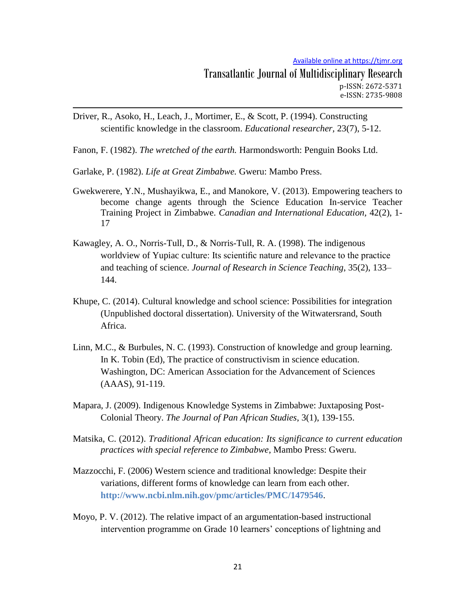- Driver, R., Asoko, H., Leach, J., Mortimer, E., & Scott, P. (1994). Constructing scientific knowledge in the classroom. *Educational researcher,* 23(7), 5-12.
- Fanon, F. (1982). *The wretched of the earth.* Harmondsworth: Penguin Books Ltd.
- Garlake, P. (1982). *Life at Great Zimbabwe.* Gweru: Mambo Press.
- Gwekwerere, Y.N., Mushayikwa, E., and Manokore, V. (2013). Empowering teachers to become change agents through the Science Education In-service Teacher Training Project in Zimbabwe. *Canadian and International Education,* 42(2), 1- 17
- Kawagley, A. O., Norris-Tull, D., & Norris-Tull, R. A. (1998). The indigenous worldview of Yupiac culture: Its scientific nature and relevance to the practice and teaching of science. *Journal of Research in Science Teaching*, 35(2), 133– 144.
- Khupe, C. (2014). Cultural knowledge and school science: Possibilities for integration (Unpublished doctoral dissertation). University of the Witwatersrand, South Africa.
- Linn, M.C., & Burbules, N. C. (1993). Construction of knowledge and group learning. In K. Tobin (Ed), The practice of constructivism in science education. Washington, DC: American Association for the Advancement of Sciences (AAAS), 91-119.
- Mapara, J. (2009). Indigenous Knowledge Systems in Zimbabwe: Juxtaposing Post-Colonial Theory. *The Journal of Pan African Studies*, 3(1), 139-155.
- Matsika, C. (2012). *Traditional African education: Its significance to current education practices with special reference to Zimbabwe*, Mambo Press: Gweru.
- Mazzocchi, F. (2006) Western science and traditional knowledge: Despite their variations, different forms of knowledge can learn from each other. **<http://www.ncbi.nlm.nih.gov/pmc/articles/PMC/1479546>**.
- Moyo, P. V. (2012). The relative impact of an argumentation-based instructional intervention programme on Grade 10 learners' conceptions of lightning and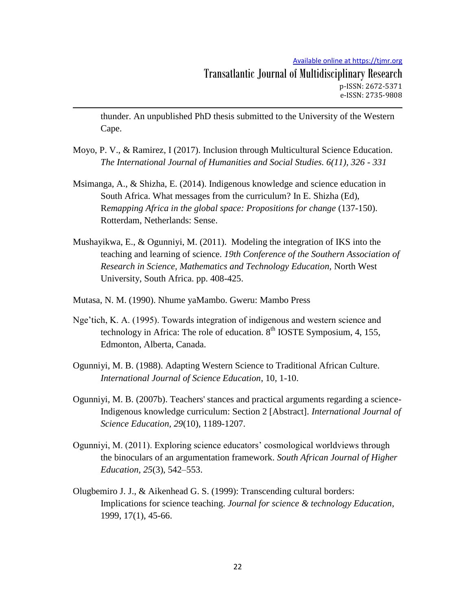Available online at https://tjmr.org

thunder. An unpublished PhD thesis submitted to the University of the Western Cape.

- Moyo, P. V., & Ramirez, I (2017). Inclusion through Multicultural Science Education. *The International Journal of Humanities and Social Studies. 6(11), 326 - 331*
- Msimanga, A., & Shizha, E. (2014). Indigenous knowledge and science education in South Africa. What messages from the curriculum? In E. Shizha (Ed), R*emapping Africa in the global space: Propositions for change* (137-150). Rotterdam, Netherlands: Sense.
- Mushayikwa, E., & Ogunniyi, M. (2011). Modeling the integration of IKS into the teaching and learning of science. *19th Conference of the Southern Association of Research in Science, Mathematics and Technology Education,* North West University, South Africa. pp. 408-425.
- Mutasa, N. M. (1990). Nhume yaMambo. Gweru: Mambo Press
- Nge"tich, K. A. (1995). Towards integration of indigenous and western science and technology in Africa: The role of education.  $8<sup>th</sup>$  IOSTE Symposium, 4, 155, Edmonton, Alberta, Canada.
- Ogunniyi, M. B. (1988). Adapting Western Science to Traditional African Culture. *International Journal of Science Education*, 10, 1-10.
- Ogunniyi, M. B. (2007b). Teachers' stances and practical arguments regarding a science-Indigenous knowledge curriculum: Section 2 [Abstract]. *International Journal of Science Education, 29*(10), 1189-1207.
- Ogunniyi, M. (2011). Exploring science educators" cosmological worldviews through the binoculars of an argumentation framework. *South African Journal of Higher Education, 25*(3), 542–553.
- Olugbemiro J. J., & Aikenhead G. S. (1999): Transcending cultural borders: Implications for science teaching. *Journal for science & technology Education*, 1999, 17(1), 45-66.